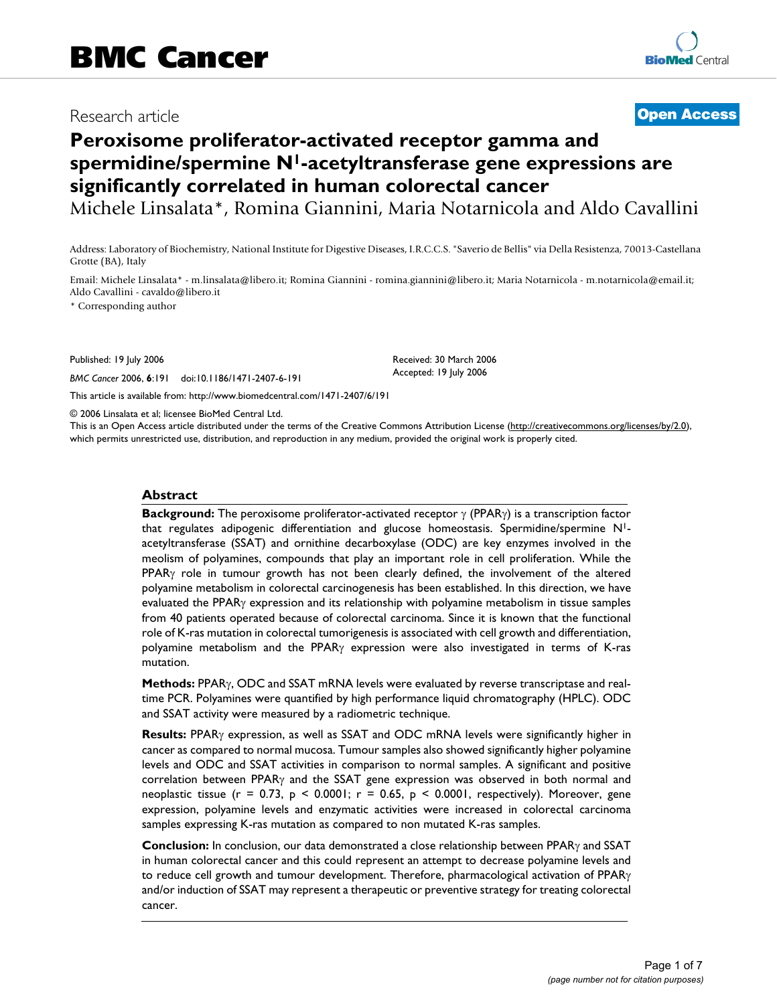# Research article **[Open Access](http://www.biomedcentral.com/info/about/charter/)**

# **Peroxisome proliferator-activated receptor gamma and spermidine/spermine N1-acetyltransferase gene expressions are significantly correlated in human colorectal cancer**

Michele Linsalata\*, Romina Giannini, Maria Notarnicola and Aldo Cavallini

Address: Laboratory of Biochemistry, National Institute for Digestive Diseases, I.R.C.C.S. "Saverio de Bellis" via Della Resistenza, 70013-Castellana Grotte (BA), Italy

Email: Michele Linsalata\* - m.linsalata@libero.it; Romina Giannini - romina.giannini@libero.it; Maria Notarnicola - m.notarnicola@email.it; Aldo Cavallini - cavaldo@libero.it

\* Corresponding author

Published: 19 July 2006

*BMC Cancer* 2006, **6**:191 doi:10.1186/1471-2407-6-191

[This article is available from: http://www.biomedcentral.com/1471-2407/6/191](http://www.biomedcentral.com/1471-2407/6/191)

© 2006 Linsalata et al; licensee BioMed Central Ltd.

This is an Open Access article distributed under the terms of the Creative Commons Attribution License [\(http://creativecommons.org/licenses/by/2.0\)](http://creativecommons.org/licenses/by/2.0), which permits unrestricted use, distribution, and reproduction in any medium, provided the original work is properly cited.

Received: 30 March 2006 Accepted: 19 July 2006

#### **Abstract**

**Background:** The peroxisome proliferator-activated receptor γ (PPARγ) is a transcription factor that regulates adipogenic differentiation and glucose homeostasis. Spermidine/spermine N1 acetyltransferase (SSAT) and ornithine decarboxylase (ODC) are key enzymes involved in the meolism of polyamines, compounds that play an important role in cell proliferation. While the PPAR $\gamma$  role in tumour growth has not been clearly defined, the involvement of the altered polyamine metabolism in colorectal carcinogenesis has been established. In this direction, we have evaluated the PPARγ expression and its relationship with polyamine metabolism in tissue samples from 40 patients operated because of colorectal carcinoma. Since it is known that the functional role of K-ras mutation in colorectal tumorigenesis is associated with cell growth and differentiation, polyamine metabolism and the PPARγ expression were also investigated in terms of K-ras mutation.

**Methods:** PPARγ, ODC and SSAT mRNA levels were evaluated by reverse transcriptase and realtime PCR. Polyamines were quantified by high performance liquid chromatography (HPLC). ODC and SSAT activity were measured by a radiometric technique.

**Results:** PPARγ expression, as well as SSAT and ODC mRNA levels were significantly higher in cancer as compared to normal mucosa. Tumour samples also showed significantly higher polyamine levels and ODC and SSAT activities in comparison to normal samples. A significant and positive correlation between PPARγ and the SSAT gene expression was observed in both normal and neoplastic tissue (r = 0.73, p < 0.0001; r = 0.65, p < 0.0001, respectively). Moreover, gene expression, polyamine levels and enzymatic activities were increased in colorectal carcinoma samples expressing K-ras mutation as compared to non mutated K-ras samples.

**Conclusion:** In conclusion, our data demonstrated a close relationship between PPARγ and SSAT in human colorectal cancer and this could represent an attempt to decrease polyamine levels and to reduce cell growth and tumour development. Therefore, pharmacological activation of PPARγ and/or induction of SSAT may represent a therapeutic or preventive strategy for treating colorectal cancer.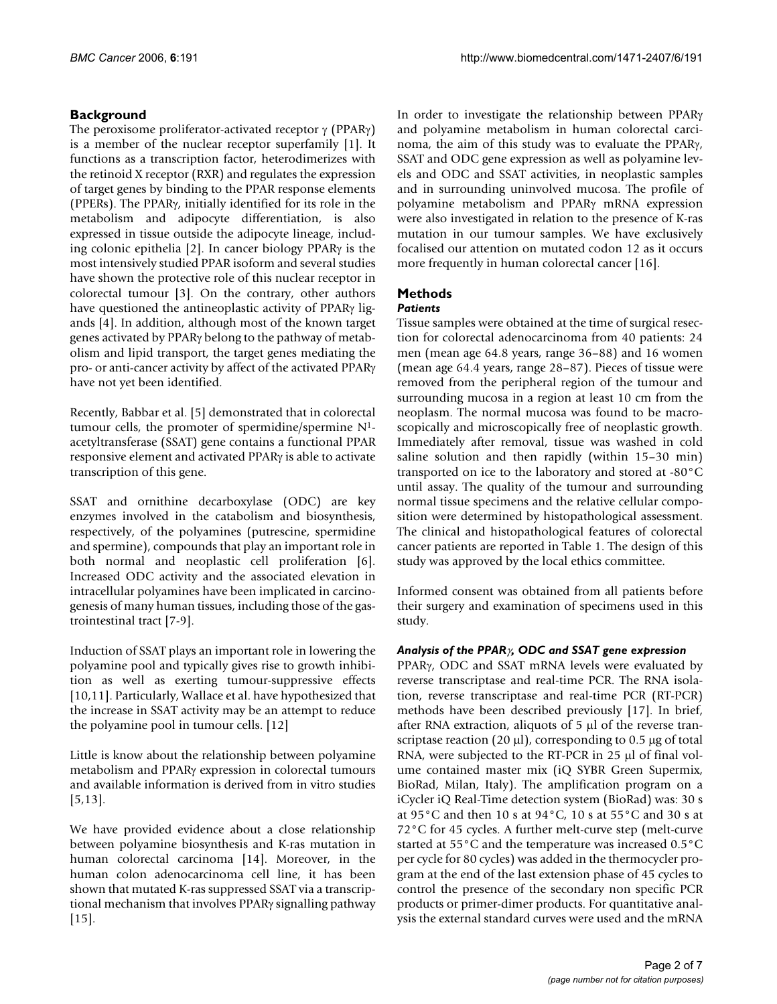# **Background**

The peroxisome proliferator-activated receptor γ (PPARγ) is a member of the nuclear receptor superfamily [1]. It functions as a transcription factor, heterodimerizes with the retinoid X receptor (RXR) and regulates the expression of target genes by binding to the PPAR response elements (PPERs). The PPARγ, initially identified for its role in the metabolism and adipocyte differentiation, is also expressed in tissue outside the adipocyte lineage, including colonic epithelia [2]. In cancer biology PPARγ is the most intensively studied PPAR isoform and several studies have shown the protective role of this nuclear receptor in colorectal tumour [3]. On the contrary, other authors have questioned the antineoplastic activity of PPARγ ligands [4]. In addition, although most of the known target genes activated by PPARγ belong to the pathway of metabolism and lipid transport, the target genes mediating the pro- or anti-cancer activity by affect of the activated PPARγ have not yet been identified.

Recently, Babbar et al. [5] demonstrated that in colorectal tumour cells, the promoter of spermidine/spermine N1 acetyltransferase (SSAT) gene contains a functional PPAR responsive element and activated PPARγ is able to activate transcription of this gene.

SSAT and ornithine decarboxylase (ODC) are key enzymes involved in the catabolism and biosynthesis, respectively, of the polyamines (putrescine, spermidine and spermine), compounds that play an important role in both normal and neoplastic cell proliferation [6]. Increased ODC activity and the associated elevation in intracellular polyamines have been implicated in carcinogenesis of many human tissues, including those of the gastrointestinal tract [7-9].

Induction of SSAT plays an important role in lowering the polyamine pool and typically gives rise to growth inhibition as well as exerting tumour-suppressive effects [10,11]. Particularly, Wallace et al. have hypothesized that the increase in SSAT activity may be an attempt to reduce the polyamine pool in tumour cells. [12]

Little is know about the relationship between polyamine metabolism and PPARγ expression in colorectal tumours and available information is derived from in vitro studies [5,13].

We have provided evidence about a close relationship between polyamine biosynthesis and K-ras mutation in human colorectal carcinoma [14]. Moreover, in the human colon adenocarcinoma cell line, it has been shown that mutated K-ras suppressed SSAT via a transcriptional mechanism that involves PPARγ signalling pathway [15].

In order to investigate the relationship between PPARγ and polyamine metabolism in human colorectal carcinoma, the aim of this study was to evaluate the PPARγ, SSAT and ODC gene expression as well as polyamine levels and ODC and SSAT activities, in neoplastic samples and in surrounding uninvolved mucosa. The profile of polyamine metabolism and PPARγ mRNA expression were also investigated in relation to the presence of K-ras mutation in our tumour samples. We have exclusively focalised our attention on mutated codon 12 as it occurs more frequently in human colorectal cancer [16].

# **Methods**

# *Patients*

Tissue samples were obtained at the time of surgical resection for colorectal adenocarcinoma from 40 patients: 24 men (mean age 64.8 years, range 36–88) and 16 women (mean age 64.4 years, range 28–87). Pieces of tissue were removed from the peripheral region of the tumour and surrounding mucosa in a region at least 10 cm from the neoplasm. The normal mucosa was found to be macroscopically and microscopically free of neoplastic growth. Immediately after removal, tissue was washed in cold saline solution and then rapidly (within 15–30 min) transported on ice to the laboratory and stored at -80°C until assay. The quality of the tumour and surrounding normal tissue specimens and the relative cellular composition were determined by histopathological assessment. The clinical and histopathological features of colorectal cancer patients are reported in Table 1. The design of this study was approved by the local ethics committee.

Informed consent was obtained from all patients before their surgery and examination of specimens used in this study.

# *Analysis of the PPAR*γ*, ODC and SSAT gene expression*

PPARγ, ODC and SSAT mRNA levels were evaluated by reverse transcriptase and real-time PCR. The RNA isolation, reverse transcriptase and real-time PCR (RT-PCR) methods have been described previously [17]. In brief, after RNA extraction, aliquots of 5 µl of the reverse transcriptase reaction (20  $\mu$ l), corresponding to 0.5  $\mu$ g of total RNA, were subjected to the RT-PCR in 25 µl of final volume contained master mix (iQ SYBR Green Supermix, BioRad, Milan, Italy). The amplification program on a iCycler iQ Real-Time detection system (BioRad) was: 30 s at 95°C and then 10 s at 94°C, 10 s at 55°C and 30 s at 72°C for 45 cycles. A further melt-curve step (melt-curve started at 55°C and the temperature was increased 0.5°C per cycle for 80 cycles) was added in the thermocycler program at the end of the last extension phase of 45 cycles to control the presence of the secondary non specific PCR products or primer-dimer products. For quantitative analysis the external standard curves were used and the mRNA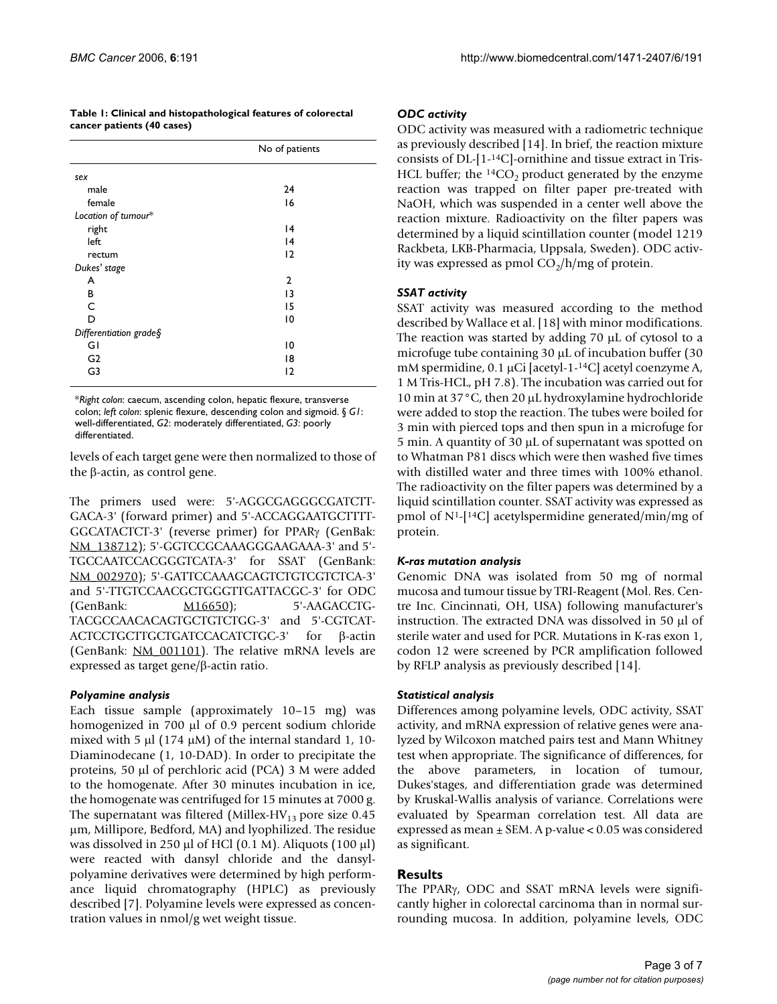|                            | Table 1: Clinical and histopathological features of colorectal |
|----------------------------|----------------------------------------------------------------|
| cancer patients (40 cases) |                                                                |

|                         | No of patients |
|-------------------------|----------------|
| sex                     |                |
| male                    | 24             |
| female                  | 16             |
| Location of tumour*     |                |
| right                   | 4              |
| left                    | 4              |
| rectum                  | $\overline{2}$ |
| Dukes' stage            |                |
| A                       | $\mathbf{2}$   |
| В                       | 13             |
| C                       | 15             |
| D                       | 10             |
| Differentiation grade § |                |
| GI                      | 10             |
| G <sub>2</sub>          | 18             |
| G3                      | 12             |
|                         |                |

\**Right colon*: caecum, ascending colon, hepatic flexure, transverse colon; *left colon*: splenic flexure, descending colon and sigmoid. § *G1*: well-differentiated, *G2*: moderately differentiated, *G3*: poorly differentiated.

levels of each target gene were then normalized to those of the β-actin, as control gene.

The primers used were: 5'-AGGCGAGGGCGATCTT-GACA-3' (forward primer) and 5'-ACCAGGAATGCTTTT-GGCATACTCT-3' (reverse primer) for PPARγ (GenBak: [NM\\_138712\)](http://www.ncbi.nih.gov/entrez/query.fcgi?db=Nucleotide&cmd=search&term=NM_138712); 5'-GGTCCGCAAAGGGAAGAAA-3' and 5'- TGCCAATCCACGGGTCATA-3' for SSAT (GenBank: [NM\\_002970\)](http://www.ncbi.nih.gov/entrez/query.fcgi?db=Nucleotide&cmd=search&term=NM_002970); 5'-GATTCCAAAGCAGTCTGTCGTCTCA-3' and 5'-TTGTCCAACGCTGGGTTGATTACGC-3' for ODC (GenBank: [M16650](http://www.ncbi.nih.gov/entrez/query.fcgi?db=Nucleotide&cmd=search&term=M16650)); 5'-AAGACCTG-TACGCCAACACAGTGCTGTCTGG-3' and 5'-CGTCAT-ACTCCTGCTTGCTGATCCACATCTGC-3' for β-actin (GenBank:  $NM_001101$ ). The relative mRNA levels are expressed as target gene/β-actin ratio.

#### *Polyamine analysis*

Each tissue sample (approximately 10–15 mg) was homogenized in 700 µl of 0.9 percent sodium chloride mixed with 5  $\mu$ l (174  $\mu$ M) of the internal standard 1, 10-Diaminodecane (1, 10-DAD). In order to precipitate the proteins, 50 µl of perchloric acid (PCA) 3 M were added to the homogenate. After 30 minutes incubation in ice, the homogenate was centrifuged for 15 minutes at 7000 g. The supernatant was filtered (Millex-HV<sub>13</sub> pore size 0.45 µm, Millipore, Bedford, MA) and lyophilized. The residue was dissolved in 250  $\mu$ l of HCl (0.1 M). Aliquots (100  $\mu$ l) were reacted with dansyl chloride and the dansylpolyamine derivatives were determined by high performance liquid chromatography (HPLC) as previously described [7]. Polyamine levels were expressed as concentration values in nmol/g wet weight tissue.

#### *ODC activity*

ODC activity was measured with a radiometric technique as previously described [14]. In brief, the reaction mixture consists of DL-[1-14C]-ornithine and tissue extract in Tris-HCL buffer; the  ${}^{14}CO_2$  product generated by the enzyme reaction was trapped on filter paper pre-treated with NaOH, which was suspended in a center well above the reaction mixture. Radioactivity on the filter papers was determined by a liquid scintillation counter (model 1219 Rackbeta, LKB-Pharmacia, Uppsala, Sweden). ODC activity was expressed as pmol  $CO_2/h/mg$  of protein.

#### *SSAT activity*

SSAT activity was measured according to the method described by Wallace et al. [18] with minor modifications. The reaction was started by adding 70 µL of cytosol to a microfuge tube containing 30 µL of incubation buffer (30 mM spermidine, 0.1 μCi [acetyl-1-<sup>14</sup>C] acetyl coenzyme A, 1 M Tris-HCL, pH 7.8). The incubation was carried out for 10 min at 37°C, then 20 µL hydroxylamine hydrochloride were added to stop the reaction. The tubes were boiled for 3 min with pierced tops and then spun in a microfuge for 5 min. A quantity of 30 µL of supernatant was spotted on to Whatman P81 discs which were then washed five times with distilled water and three times with 100% ethanol. The radioactivity on the filter papers was determined by a liquid scintillation counter. SSAT activity was expressed as pmol of N1-[14C] acetylspermidine generated/min/mg of protein.

#### *K-ras mutation analysis*

Genomic DNA was isolated from 50 mg of normal mucosa and tumour tissue by TRI-Reagent (Mol. Res. Centre Inc. Cincinnati, OH, USA) following manufacturer's instruction. The extracted DNA was dissolved in 50 µl of sterile water and used for PCR. Mutations in K-ras exon 1, codon 12 were screened by PCR amplification followed by RFLP analysis as previously described [14].

#### *Statistical analysis*

Differences among polyamine levels, ODC activity, SSAT activity, and mRNA expression of relative genes were analyzed by Wilcoxon matched pairs test and Mann Whitney test when appropriate. The significance of differences, for the above parameters, in location of tumour, Dukes'stages, and differentiation grade was determined by Kruskal-Wallis analysis of variance. Correlations were evaluated by Spearman correlation test. All data are expressed as mean ± SEM. A p-value < 0.05 was considered as significant.

#### **Results**

The PPARγ, ODC and SSAT mRNA levels were significantly higher in colorectal carcinoma than in normal surrounding mucosa. In addition, polyamine levels, ODC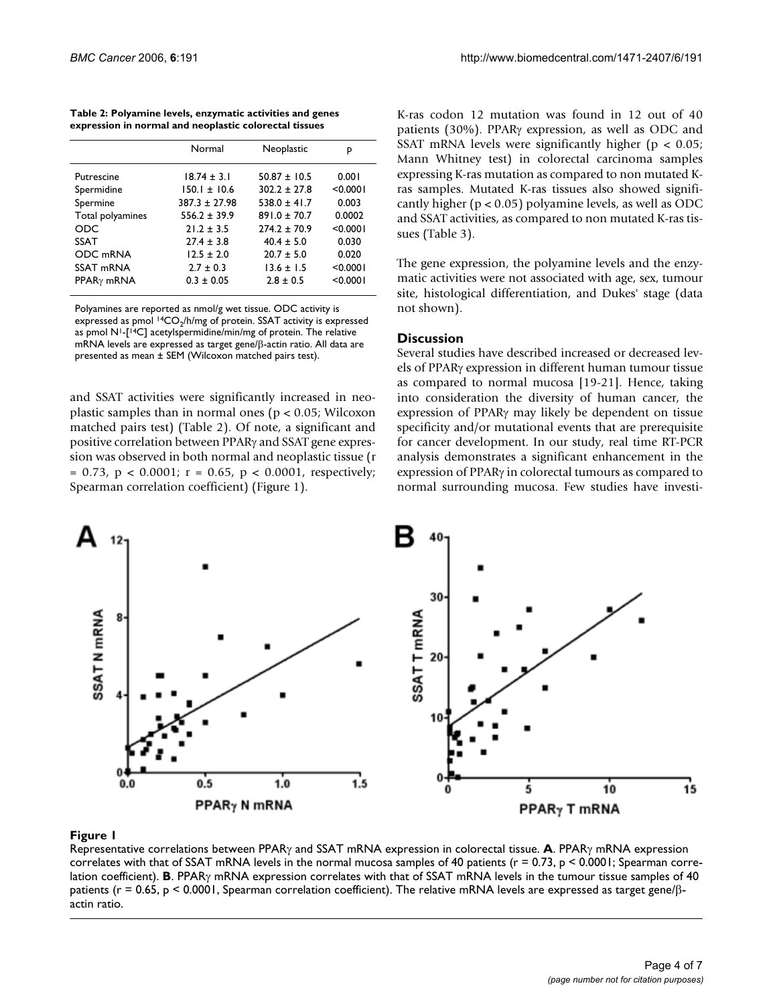| Table 2: Polyamine levels, enzymatic activities and genes |  |
|-----------------------------------------------------------|--|
| expression in normal and neoplastic colorectal tissues    |  |

|                        | Normal            | Neoplastic       | p        |
|------------------------|-------------------|------------------|----------|
| Putrescine             | $18.74 \pm 3.1$   | $50.87 \pm 10.5$ | 0.001    |
| Spermidine             | $150.1 \pm 10.6$  | $302.2 + 27.8$   | < 0.0001 |
| Spermine               | $387.3 \pm 27.98$ | $538.0 + 41.7$   | 0.003    |
| Total polyamines       | $556.2 \pm 39.9$  | $891.0 + 70.7$   | 0.0002   |
| <b>ODC</b>             | $21.2 + 3.5$      | $774.2 + 70.9$   | < 0.0001 |
| <b>SSAT</b>            | $77.4 + 3.8$      | $40.4 \pm 5.0$   | 0.030    |
| ODC mRNA               | $12.5 + 2.0$      | $20.7 + 5.0$     | 0.020    |
| SSAT mRNA              | $2.7 + 0.3$       | $13.6 + 1.5$     | < 0.0001 |
| PPAR <sub>Y</sub> mRNA | $0.3 \pm 0.05$    | $2.8 + 0.5$      | < 0.0001 |
|                        |                   |                  |          |

Polyamines are reported as nmol/g wet tissue. ODC activity is expressed as pmol  $14CO<sub>2</sub>/h/mg$  of protein. SSAT activity is expressed as pmol  $N^1$ -[<sup>14</sup>C] acetylspermidine/min/mg of protein. The relative mRNA levels are expressed as target gene/β-actin ratio. All data are presented as mean ± SEM (Wilcoxon matched pairs test).

and SSAT activities were significantly increased in neoplastic samples than in normal ones ( $p < 0.05$ ; Wilcoxon matched pairs test) (Table 2). Of note, a significant and positive correlation between PPARγ and SSAT gene expression was observed in both normal and neoplastic tissue (r  $= 0.73$ ,  $p < 0.0001$ ;  $r = 0.65$ ,  $p < 0.0001$ , respectively; Spearman correlation coefficient) (Figure 1).

K-ras codon 12 mutation was found in 12 out of 40 patients (30%). PPARγ expression, as well as ODC and SSAT mRNA levels were significantly higher ( $p < 0.05$ ; Mann Whitney test) in colorectal carcinoma samples expressing K-ras mutation as compared to non mutated Kras samples. Mutated K-ras tissues also showed significantly higher ( $p < 0.05$ ) polyamine levels, as well as ODC and SSAT activities, as compared to non mutated K-ras tissues (Table 3).

The gene expression, the polyamine levels and the enzymatic activities were not associated with age, sex, tumour site, histological differentiation, and Dukes' stage (data not shown).

### **Discussion**

Several studies have described increased or decreased levels of PPARγ expression in different human tumour tissue as compared to normal mucosa [19-21]. Hence, taking into consideration the diversity of human cancer, the expression of PPARγ may likely be dependent on tissue specificity and/or mutational events that are prerequisite for cancer development. In our study, real time RT-PCR analysis demonstrates a significant enhancement in the expression of PPARγ in colorectal tumours as compared to normal surrounding mucosa. Few studies have investi-



### **Figure 1** correlations between PPAR<sub>7</sub> and SSAT mRNA expression in colorectative in colorectative in colorectal tissue

Representative correlations between PPARγ and SSAT mRNA expression in colorectal tissue. **A**. PPARγ mRNA expression correlates with that of SSAT mRNA levels in the normal mucosa samples of 40 patients ( $r = 0.73$ ,  $p < 0.0001$ ; Spearman correlation coefficient). **B**. PPARγ mRNA expression correlates with that of SSAT mRNA levels in the tumour tissue samples of 40 patients (r = 0.65, p < 0.0001, Spearman correlation coefficient). The relative mRNA levels are expressed as target gene/βactin ratio.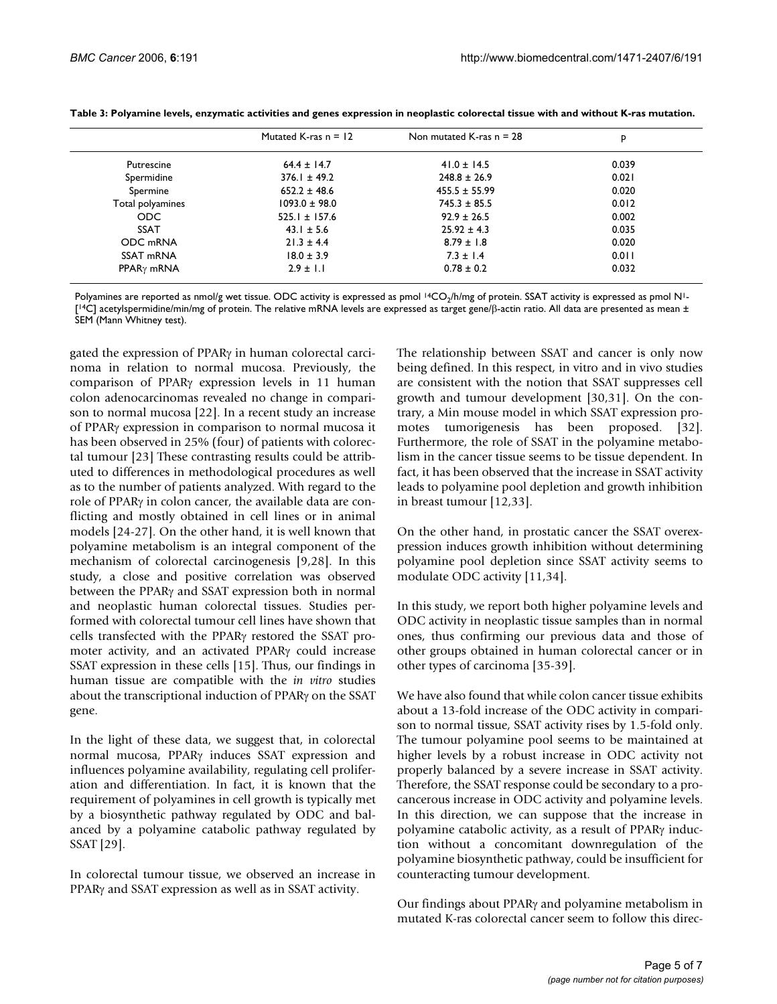|                        | Mutated K-ras $n = 12$ | Non mutated K-ras $n = 28$ | p     |
|------------------------|------------------------|----------------------------|-------|
| Putrescine             | $64.4 \pm 14.7$        | $41.0 \pm 14.5$            | 0.039 |
| Spermidine             | $376.1 \pm 49.2$       | $248.8 \pm 26.9$           | 0.021 |
| Spermine               | $652.2 \pm 48.6$       | $455.5 \pm 55.99$          | 0.020 |
| Total polyamines       | $1093.0 \pm 98.0$      | $745.3 \pm 85.5$           | 0.012 |
| ODC.                   | $525.1 \pm 157.6$      | $92.9 \pm 26.5$            | 0.002 |
| <b>SSAT</b>            | $43.1 \pm 5.6$         | $25.92 \pm 4.3$            | 0.035 |
| ODC mRNA               | $21.3 \pm 4.4$         | $8.79 \pm 1.8$             | 0.020 |
| SSAT mRNA              | $18.0 \pm 3.9$         | $7.3 \pm 1.4$              | 0.011 |
| PPAR <sub>Y</sub> mRNA | $2.9 \pm 1.1$          | $0.78 \pm 0.2$             | 0.032 |

**Table 3: Polyamine levels, enzymatic activities and genes expression in neoplastic colorectal tissue with and without K-ras mutation.**

Polyamines are reported as nmol/g wet tissue. ODC activity is expressed as pmol <sup>14</sup>CO<sub>2</sub>/h/mg of protein. SSAT activity is expressed as pmol N<sup>1</sup>-[14C] acetylspermidine/min/mg of protein. The relative mRNA levels are expressed as target gene/β-actin ratio. All data are presented as mean ± SEM (Mann Whitney test).

gated the expression of PPARγ in human colorectal carcinoma in relation to normal mucosa. Previously, the comparison of PPARγ expression levels in 11 human colon adenocarcinomas revealed no change in comparison to normal mucosa [22]. In a recent study an increase of PPARγ expression in comparison to normal mucosa it has been observed in 25% (four) of patients with colorectal tumour [23] These contrasting results could be attributed to differences in methodological procedures as well as to the number of patients analyzed. With regard to the role of PPARγ in colon cancer, the available data are conflicting and mostly obtained in cell lines or in animal models [24-27]. On the other hand, it is well known that polyamine metabolism is an integral component of the mechanism of colorectal carcinogenesis [9,28]. In this study, a close and positive correlation was observed between the PPARγ and SSAT expression both in normal and neoplastic human colorectal tissues. Studies performed with colorectal tumour cell lines have shown that cells transfected with the PPARγ restored the SSAT promoter activity, and an activated PPARγ could increase SSAT expression in these cells [15]. Thus, our findings in human tissue are compatible with the *in vitro* studies about the transcriptional induction of PPARγ on the SSAT gene.

In the light of these data, we suggest that, in colorectal normal mucosa, PPARγ induces SSAT expression and influences polyamine availability, regulating cell proliferation and differentiation. In fact, it is known that the requirement of polyamines in cell growth is typically met by a biosynthetic pathway regulated by ODC and balanced by a polyamine catabolic pathway regulated by SSAT [29].

In colorectal tumour tissue, we observed an increase in PPARγ and SSAT expression as well as in SSAT activity.

The relationship between SSAT and cancer is only now being defined. In this respect, in vitro and in vivo studies are consistent with the notion that SSAT suppresses cell growth and tumour development [30,31]. On the contrary, a Min mouse model in which SSAT expression promotes tumorigenesis has been proposed. [32]. Furthermore, the role of SSAT in the polyamine metabolism in the cancer tissue seems to be tissue dependent. In fact, it has been observed that the increase in SSAT activity leads to polyamine pool depletion and growth inhibition in breast tumour [12,33].

On the other hand, in prostatic cancer the SSAT overexpression induces growth inhibition without determining polyamine pool depletion since SSAT activity seems to modulate ODC activity [11,34].

In this study, we report both higher polyamine levels and ODC activity in neoplastic tissue samples than in normal ones, thus confirming our previous data and those of other groups obtained in human colorectal cancer or in other types of carcinoma [35-39].

We have also found that while colon cancer tissue exhibits about a 13-fold increase of the ODC activity in comparison to normal tissue, SSAT activity rises by 1.5-fold only. The tumour polyamine pool seems to be maintained at higher levels by a robust increase in ODC activity not properly balanced by a severe increase in SSAT activity. Therefore, the SSAT response could be secondary to a procancerous increase in ODC activity and polyamine levels. In this direction, we can suppose that the increase in polyamine catabolic activity, as a result of PPARγ induction without a concomitant downregulation of the polyamine biosynthetic pathway, could be insufficient for counteracting tumour development.

Our findings about PPARγ and polyamine metabolism in mutated K-ras colorectal cancer seem to follow this direc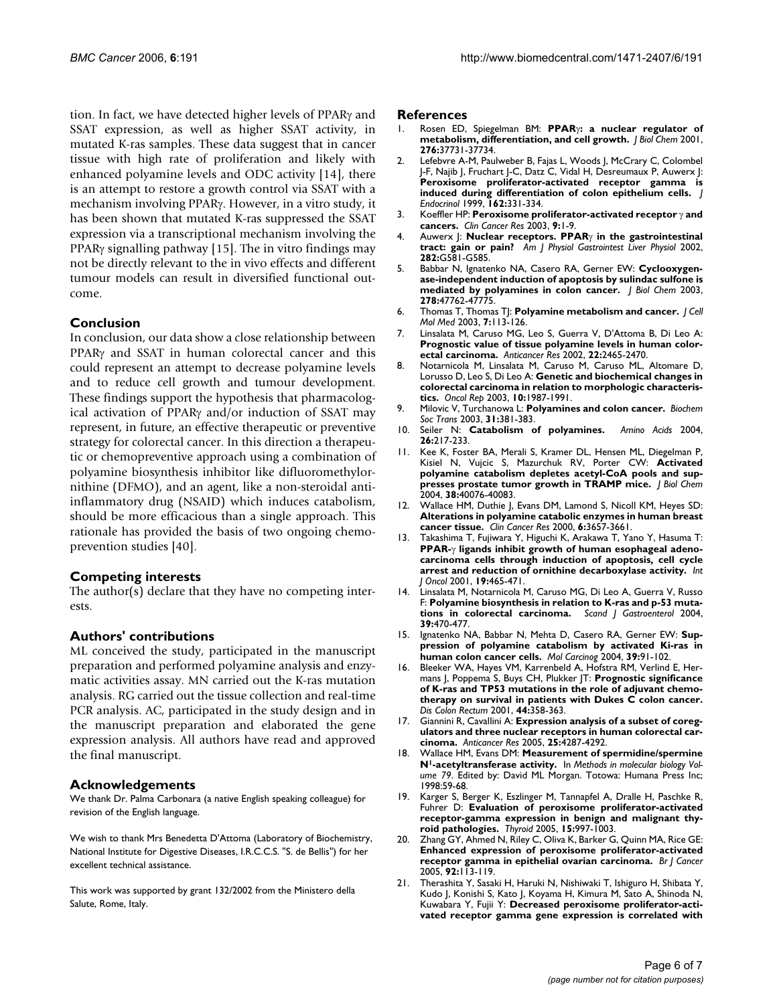tion. In fact, we have detected higher levels of PPARγ and SSAT expression, as well as higher SSAT activity, in mutated K-ras samples. These data suggest that in cancer tissue with high rate of proliferation and likely with enhanced polyamine levels and ODC activity [14], there is an attempt to restore a growth control via SSAT with a mechanism involving PPARγ. However, in a vitro study, it has been shown that mutated K-ras suppressed the SSAT expression via a transcriptional mechanism involving the PPAR $\gamma$  signalling pathway [15]. The in vitro findings may not be directly relevant to the in vivo effects and different tumour models can result in diversified functional outcome.

# **Conclusion**

In conclusion, our data show a close relationship between PPARγ and SSAT in human colorectal cancer and this could represent an attempt to decrease polyamine levels and to reduce cell growth and tumour development. These findings support the hypothesis that pharmacological activation of PPARγ and/or induction of SSAT may represent, in future, an effective therapeutic or preventive strategy for colorectal cancer. In this direction a therapeutic or chemopreventive approach using a combination of polyamine biosynthesis inhibitor like difluoromethylornithine (DFMO), and an agent, like a non-steroidal antiinflammatory drug (NSAID) which induces catabolism, should be more efficacious than a single approach. This rationale has provided the basis of two ongoing chemoprevention studies [40].

# **Competing interests**

The author(s) declare that they have no competing interests.

# **Authors' contributions**

ML conceived the study, participated in the manuscript preparation and performed polyamine analysis and enzymatic activities assay. MN carried out the K-ras mutation analysis. RG carried out the tissue collection and real-time PCR analysis. AC, participated in the study design and in the manuscript preparation and elaborated the gene expression analysis. All authors have read and approved the final manuscript.

# **Acknowledgements**

We thank Dr. Palma Carbonara (a native English speaking colleague) for revision of the English language.

We wish to thank Mrs Benedetta D'Attoma (Laboratory of Biochemistry, National Institute for Digestive Diseases, I.R.C.C.S. "S. de Bellis") for her excellent technical assistance.

This work was supported by grant 132/2002 from the Ministero della Salute, Rome, Italy.

#### **References**

- 1. Rosen ED, Spiegelman BM: **PPAR**γ**: a nuclear regulator of metabolism, differentiation, and cell growth.** *J Biol Chem* 2001, **276:**37731-37734.
- 2. Lefebvre A-M, Paulweber B, Fajas L, Woods J, McCrary C, Colombel J-F, Najib J, Fruchart J-C, Datz C, Vidal H, Desreumaux P, Auwerx J: **Peroxisome proliferator-activated receptor gamma is induced during differentiation of colon epithelium cells.** *J Endocrinol* 1999, **162:**331-334.
- 3. Koeffler HP: **Peroxisome proliferator-activated receptor** γ **and cancers.** *Clin Cancer Res* 2003, **9:**1-9.
- 4. Auwerx J: **Nuclear receptors. PPAR**γ **in the gastrointestinal tract: gain or pain?** *Am J Physiol Gastrointest Liver Physiol* 2002, **282:**G581-G585.
- 5. Babbar N, Ignatenko NA, Casero RA, Gerner EW: **Cyclooxygenase-independent induction of apoptosis by sulindac sulfone is mediated by polyamines in colon cancer.** *J Biol Chem* 2003, **278:**47762-47775.
- 6. Thomas T, Thomas TJ: **Polyamine metabolism and cancer.** *J Cell Mol Med* 2003, **7:**113-126.
- 7. Linsalata M, Caruso MG, Leo S, Guerra V, D'Attoma B, Di Leo A: **Prognostic value of tissue polyamine levels in human colorectal carcinoma.** *Anticancer Res* 2002, **22:**2465-2470.
- 8. Notarnicola M, Linsalata M, Caruso M, Caruso ML, Altomare D, Lorusso D, Leo S, Di Leo A: **Genetic and biochemical changes in colorectal carcinoma in relation to morphologic characteristics.** *Oncol Rep* 2003, **10:**1987-1991.
- 9. Milovic V, Turchanowa L: **Polyamines and colon cancer.** *Biochem Soc Trans* 2003, **31:**381-383.
- 10. Seiler N: **Catabolism of polyamines.** *Amino Acids* 2004, **26:**217-233.
- 11. Kee K, Foster BA, Merali S, Kramer DL, Hensen ML, Diegelman P, Kisiel N, Vujcic S, Mazurchuk RV, Porter CW: **Activated polyamine catabolism depletes acetyl-CoA pools and suppresses prostate tumor growth in TRAMP mice.** *J Biol Chem* 2004, **38:**40076-40083.
- 12. Wallace HM, Duthie J, Evans DM, Lamond S, Nicoll KM, Heyes SD: **Alterations in polyamine catabolic enzymes in human breast cancer tissue.** *Clin Cancer Res* 2000, **6:**3657-3661.
- 13. Takashima T, Fujiwara Y, Higuchi K, Arakawa T, Yano Y, Hasuma T: **PPAR-**γ **ligands inhibit growth of human esophageal adenocarcinoma cells through induction of apoptosis, cell cycle arrest and reduction of ornithine decarboxylase activity.** *Int J Oncol* 2001, **19:**465-471.
- 14. Linsalata M, Notarnicola M, Caruso MG, Di Leo A, Guerra V, Russo F: **Polyamine biosynthesis in relation to K-ras and p-53 mutations in colorectal carcinoma.** *Scand J Gastroenterol* 2004, **39:**470-477.
- 15. Ignatenko NA, Babbar N, Mehta D, Casero RA, Gerner EW: **Suppression of polyamine catabolism by activated Ki-ras in human colon cancer cells.** *Mol Carcinog* 2004, **39:**91-102.
- 16. Bleeker WA, Hayes VM, Karrenbeld A, Hofstra RM, Verlind E, Hermans J, Poppema S, Buys CH, Plukker JT: **Prognostic significance of K-ras and TP53 mutations in the role of adjuvant chemotherapy on survival in patients with Dukes C colon cancer.** *Dis Colon Rectum* 2001, **44:**358-363.
- 17. Giannini R, Cavallini A: **Expression analysis of a subset of coregulators and three nuclear receptors in human colorectal carcinoma.** *Anticancer Res* 2005, **25:**4287-4292.
- 18. Wallace HM, Evans DM: **Measurement of spermidine/spermine N1-acetyltransferase activity.** In *Methods in molecular biology Volume 79*. Edited by: David ML Morgan. Totowa: Humana Press Inc; 1998:59-68.
- 19. Karger S, Berger K, Eszlinger M, Tannapfel A, Dralle H, Paschke R, Fuhrer D: **Evaluation of peroxisome proliferator-activated receptor-gamma expression in benign and malignant thyroid pathologies.** *Thyroid* 2005, **15:**997-1003.
- 20. Zhang GY, Ahmed N, Riley C, Oliva K, Barker G, Quinn MA, Rice GE: **Enhanced expression of peroxisome proliferator-activated receptor gamma in epithelial ovarian carcinoma.** *Br J Cancer* 2005, **92:**113-119.
- 21. Therashita Y, Sasaki H, Haruki N, Nishiwaki T, Ishiguro H, Shibata Y, Kudo J, Konishi S, Kato J, Koyama H, Kimura M, Sato A, Shinoda N, Kuwabara Y, Fujii Y: **Decreased peroxisome proliferator-activated receptor gamma gene expression is correlated with**